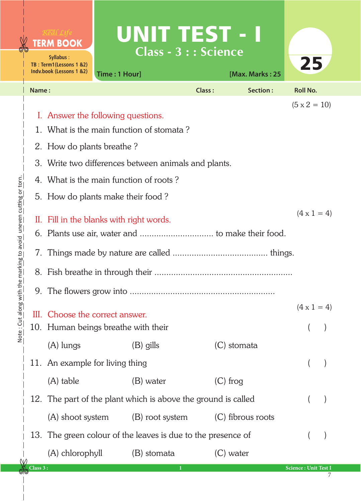|                                            |          | <b>TERM BOOK</b><br>Syllabus:<br>TB: Term1(Lessons 1 &2)<br>Indv.book (Lessons 1 &2) | <b>UNIT TEST - I</b><br>Time: 1 Hour] | Class - 3 : : Science | [Max. Marks: 25   | 25                        |  |  |  |
|--------------------------------------------|----------|--------------------------------------------------------------------------------------|---------------------------------------|-----------------------|-------------------|---------------------------|--|--|--|
|                                            | Name:    |                                                                                      |                                       | <b>Class:</b>         | Section:          | <b>Roll No.</b>           |  |  |  |
|                                            |          | I. Answer the following questions.                                                   | $(5 \times 2 = 10)$                   |                       |                   |                           |  |  |  |
|                                            |          | 1. What is the main function of stomata?                                             |                                       |                       |                   |                           |  |  |  |
|                                            |          | 2. How do plants breathe?                                                            |                                       |                       |                   |                           |  |  |  |
|                                            | 3.       | Write two differences between animals and plants.                                    |                                       |                       |                   |                           |  |  |  |
|                                            | 4.       | What is the main function of roots?                                                  |                                       |                       |                   |                           |  |  |  |
| e marking to avoid uneven cutting or torn. |          | 5. How do plants make their food?                                                    |                                       |                       |                   |                           |  |  |  |
|                                            |          | II. Fill in the blanks with right words.                                             | $(4 \times 1 = 4)$                    |                       |                   |                           |  |  |  |
|                                            |          |                                                                                      |                                       |                       |                   |                           |  |  |  |
|                                            | 7.       |                                                                                      |                                       |                       |                   |                           |  |  |  |
|                                            | 8.       |                                                                                      |                                       |                       |                   |                           |  |  |  |
|                                            |          |                                                                                      |                                       |                       |                   |                           |  |  |  |
| Note: Cut along with th                    |          |                                                                                      | III. Choose the correct answer.       |                       |                   | $(4 \times 1 = 4)$        |  |  |  |
|                                            |          |                                                                                      | 10. Human beings breathe with their   |                       |                   |                           |  |  |  |
|                                            |          | $(A)$ lungs                                                                          | $(B)$ gills                           | (C) stomata           |                   |                           |  |  |  |
|                                            | 11.      | An example for living thing                                                          |                                       |                       |                   |                           |  |  |  |
|                                            |          | (A) table                                                                            | (B) water                             | $(C)$ frog            |                   |                           |  |  |  |
|                                            | 12.      | The part of the plant which is above the ground is called                            |                                       |                       |                   |                           |  |  |  |
|                                            |          | (A) shoot system                                                                     | (B) root system                       |                       | (C) fibrous roots |                           |  |  |  |
|                                            | 13.      | The green colour of the leaves is due to the presence of                             |                                       |                       |                   |                           |  |  |  |
|                                            |          | (A) chlorophyll                                                                      | (B) stomata                           | (C) water             |                   |                           |  |  |  |
|                                            | Class 3: |                                                                                      | $\bf{1}$                              |                       |                   | Science: Unit Test I<br>7 |  |  |  |